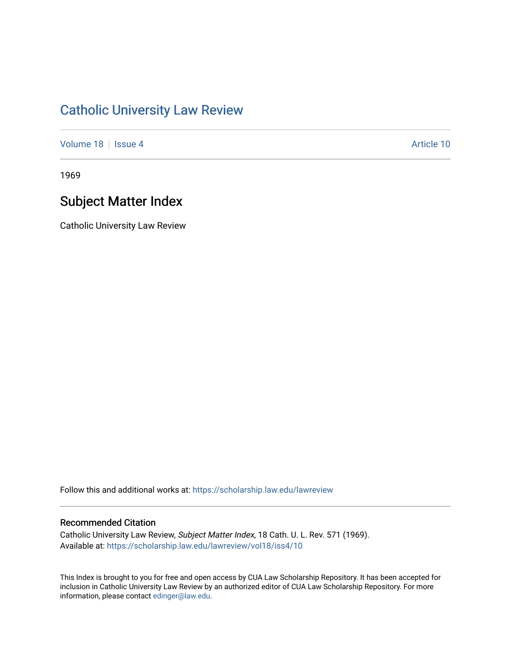# [Catholic University Law Review](https://scholarship.law.edu/lawreview)

[Volume 18](https://scholarship.law.edu/lawreview/vol18) | [Issue 4](https://scholarship.law.edu/lawreview/vol18/iss4) Article 10

1969

# Subject Matter Index

Catholic University Law Review

Follow this and additional works at: [https://scholarship.law.edu/lawreview](https://scholarship.law.edu/lawreview?utm_source=scholarship.law.edu%2Flawreview%2Fvol18%2Fiss4%2F10&utm_medium=PDF&utm_campaign=PDFCoverPages)

# Recommended Citation

Catholic University Law Review, Subject Matter Index, 18 Cath. U. L. Rev. 571 (1969). Available at: [https://scholarship.law.edu/lawreview/vol18/iss4/10](https://scholarship.law.edu/lawreview/vol18/iss4/10?utm_source=scholarship.law.edu%2Flawreview%2Fvol18%2Fiss4%2F10&utm_medium=PDF&utm_campaign=PDFCoverPages) 

This Index is brought to you for free and open access by CUA Law Scholarship Repository. It has been accepted for inclusion in Catholic University Law Review by an authorized editor of CUA Law Scholarship Repository. For more information, please contact [edinger@law.edu.](mailto:edinger@law.edu)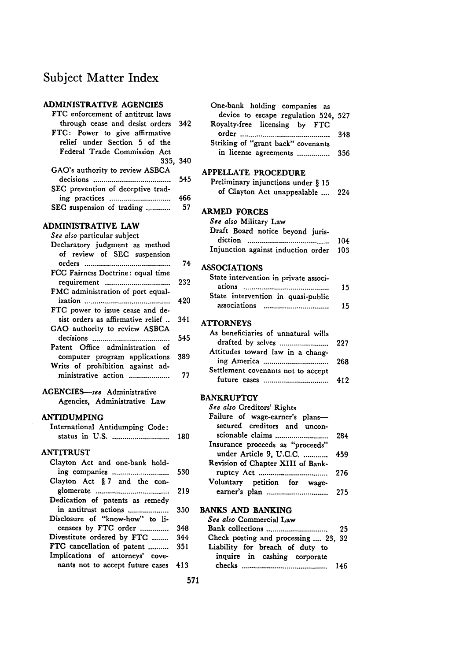# Subject Matter Index

### **ADMINISTRATIVE AGENCIES**

| FTC enforcement of antitrust laws   |     |
|-------------------------------------|-----|
| through cease and desist orders 342 |     |
| FTC: Power to give affirmative      |     |
| relief under Section 5 of the       |     |
| Federal Trade Commission Act        |     |
| 335. 340                            |     |
| GAO's authority to review ASBCA     |     |
|                                     | 545 |
| SEC prevention of deceptive trad-   |     |
|                                     | 466 |
| SEC suspension of trading           | 57  |

### **ADMINISTRATIVE LAW**

| See also particular subject<br>Declaratory judgment as method<br>of review of SEC suspension |       | Diait Doard Hotle<br>diction<br>Injunction against |
|----------------------------------------------------------------------------------------------|-------|----------------------------------------------------|
|                                                                                              | 74    | <b>ASSOCIATIONS</b>                                |
| FCC Fairness Doctrine: equal time<br>requirement                                             | 232   | State intervention i<br>ations                     |
| FMC administration of port equal-                                                            | 420   | State intervention<br>associations                 |
| FTC power to issue cease and de-<br>sist orders as affirmative relief                        | - 341 | <b>ATTORNEYS</b>                                   |
| GAO authority to review ASBCA                                                                | 545   | As beneficiaries of                                |
| Patent Office administration of<br>computer program applications                             | 389   | drafted by selve;<br>Attitudes toward l            |
| Writs of prohibition against ad-<br>ministrative action                                      | 77    | ing America<br>Settlement covenar<br>future cases  |

AGENCIES-see Administrative Agencies, Administrative Law

### **ANTIDUMPING**

| International Antidumping Code: |     | secure |
|---------------------------------|-----|--------|
|                                 | 180 | sciona |

#### **ANTITRUST**

| Clayton Act and one-bank hold-<br>ing companies | 530 |  |
|-------------------------------------------------|-----|--|
| Clayton Act § 7 and the con-                    |     |  |
|                                                 | 219 |  |
| Dedication of patents as remedy                 |     |  |
| in antitrust actions                            | 350 |  |
| Disclosure of "know-how" to li-                 |     |  |
| censees by FTC order                            | 348 |  |
| Divestitute ordered by FTC                      | 344 |  |
| FTC cancellation of patent                      | 351 |  |
| Implications of attorneys' cove-                |     |  |
| nants not to accept future cases 413            |     |  |
|                                                 |     |  |

| One-bank holding companies as        |  |
|--------------------------------------|--|
| device to escape regulation 524, 527 |  |
| Royalty-free licensing by FTC        |  |
|                                      |  |
| Striking of "grant back" covenants   |  |
| in license agreements  356           |  |

#### **APPELLATE PROCEDURE**

| Preliminary injunctions under § 15 |      |
|------------------------------------|------|
| of Clayton Act unappealable        | -224 |

# **ARMED FORCES**

| See also Military Law                  |  |
|----------------------------------------|--|
| Draft Board notice beyond juris-       |  |
|                                        |  |
| Injunction against induction order 103 |  |

| State intervention in private associ- |    |
|---------------------------------------|----|
| ations                                | 15 |
| State intervention in quasi-public    |    |
| associations                          | 15 |

# **ATTORNEYS**

| As beneficiaries of unnatural wills |     |
|-------------------------------------|-----|
| drafted by selves                   | 227 |
| Attitudes toward law in a chang-    |     |
|                                     | 268 |
| Settlement covenants not to accept  |     |
| future cases                        | 419 |
|                                     |     |

#### **BANKRUPTCY**

| See also Creditors' Rights        |     |
|-----------------------------------|-----|
| Failure of wage-earner's plans-   |     |
| secured creditors and uncon-      |     |
| scionable claims                  | 284 |
| Insurance proceeds as "proceeds"  |     |
| under Article 9, U.C.C.           | 459 |
| Revision of Chapter XIII of Bank- |     |
|                                   | 276 |
| Voluntary petition for wage-      |     |
|                                   | 275 |
|                                   |     |

#### **350 BANKS AND BANKING**

|     | See also Commercial Law                                         |
|-----|-----------------------------------------------------------------|
| 348 | -25                                                             |
| 344 | Check posting and processing  23, 32                            |
| 351 | Liability for breach of duty to<br>inquire in cashing corporate |
| 413 | 146                                                             |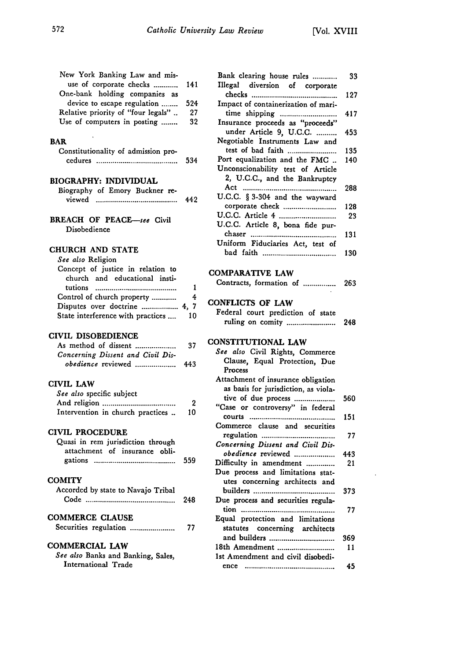| use of corporate checks<br>One-bank holding companies as<br>device to escape regulation<br>Relative priority of "four legals" | New York Banking Law and mis- |     |
|-------------------------------------------------------------------------------------------------------------------------------|-------------------------------|-----|
|                                                                                                                               |                               | 141 |
|                                                                                                                               |                               |     |
|                                                                                                                               |                               | 524 |
|                                                                                                                               |                               | 27  |
|                                                                                                                               | Use of computers in posting   | 32  |

#### **BAR**

| Constitutionality of admission pro- |  |  |     |
|-------------------------------------|--|--|-----|
| cedures                             |  |  | 534 |

# **BIOGRAPHY: INDIVIDUAL**

 $\ddot{\phantom{a}}$ 

| Biography of Emory Buckner re- |  |  |     |
|--------------------------------|--|--|-----|
| viewed                         |  |  | 442 |

#### BREACH OF PEACE-see Civil Disobedience

#### **CHURCH AND STATE**

| See also Religion                 |    |
|-----------------------------------|----|
| Concept of justice in relation to |    |
| church and educational insti-     |    |
|                                   |    |
| Control of church property        | 4  |
|                                   |    |
| State interference with practices | 10 |

### **CIVIL DISOBEDIENCE**

| As method of dissent              | 37  |
|-----------------------------------|-----|
| Concerning Dissent and Civil Dis- |     |
| obedience reviewed                | 443 |

### **CIVIL LAW**

| See also specific subject        |              |
|----------------------------------|--------------|
|                                  |              |
| Intervention in church practices | $\mathbf{1}$ |

#### CIVIL **PROCEDURE**

| Quasi in rem jurisdiction through |  |     |
|-----------------------------------|--|-----|
| attachment of insurance obli-     |  |     |
|                                   |  | 559 |

#### **COMITY**

| Accorded by state to Navajo Tribal |    |
|------------------------------------|----|
| Code                               | 24 |

# **COMMERCE CLAUSE**

|  |  | Securities regulation | 77 |
|--|--|-----------------------|----|
|--|--|-----------------------|----|

### **COMMERCIAL LAW**

*See also* Banks and Banking, Sales, International Trade

| 141       | Bank clearing house rules<br>Illegal<br>diversion of corporate | 33  |
|-----------|----------------------------------------------------------------|-----|
|           |                                                                | 127 |
| 524<br>27 | Impact of containerization of mari-                            |     |
| 32        | Insurance proceeds as "proceeds"                               | 417 |
|           | under Article 9, U.C.C.                                        | 453 |
|           | Negotiable Instruments Law and                                 |     |
|           | test of bad faith                                              | 135 |
| 534       | Port equalization and the FMC                                  | 140 |
|           | Unconscionability test of Article                              |     |
|           | 2, U.C.C., and the Bankruptcy                                  |     |
|           | U.C.C. § 3-304 and the wayward                                 | 288 |
| 442       | corporate check                                                | 128 |
|           |                                                                | 23  |
|           | U.C.C. Article 8, bona fide pur-                               |     |
|           |                                                                | 131 |
|           | Uniform Fiduciaries Act, test of                               |     |
|           |                                                                | 130 |
|           |                                                                |     |
|           | COMPARATIVE LAW                                                |     |
| 1         | Contracts, formation of                                        | 263 |
| 4         |                                                                |     |
| 4, 7      | <b>CONFLICTS OF LAW</b>                                        |     |
| 10        | Federal court prediction of state<br>ruling on comity          |     |
|           |                                                                | 248 |
|           | CONSTITUTIONAL LAW                                             |     |
| 37        | See also Civil Rights, Commerce                                |     |
| 443       | Clause, Equal Protection, Due                                  |     |
|           | Process                                                        |     |
|           | Attachment of insurance obligation                             |     |
|           | as basis for jurisdiction, as viola-                           |     |
| 2         | tive of due process<br>"Case or controversy" in federal        | 560 |
| 10        |                                                                | 151 |
|           | Commerce clause and securities                                 |     |
|           |                                                                | 77  |
|           | Concerning Dissent and Civil Dis-                              |     |
| 559       | obedience reviewed                                             | 443 |
|           | Difficulty in amendment                                        | 21  |
|           | Due process and limitations stat-                              |     |
|           | utes concerning architects and                                 | 373 |
| 248       | Due process and securities regula-                             |     |
|           |                                                                | 77  |
|           | Equal protection and limitations                               |     |
| 77        | statutes<br>concerning architects                              |     |
|           | and builders                                                   | 369 |
|           | 18th Amendment                                                 | 11  |
|           | 1st Amendment and civil disobedi-                              |     |
|           |                                                                |     |
|           |                                                                | 45  |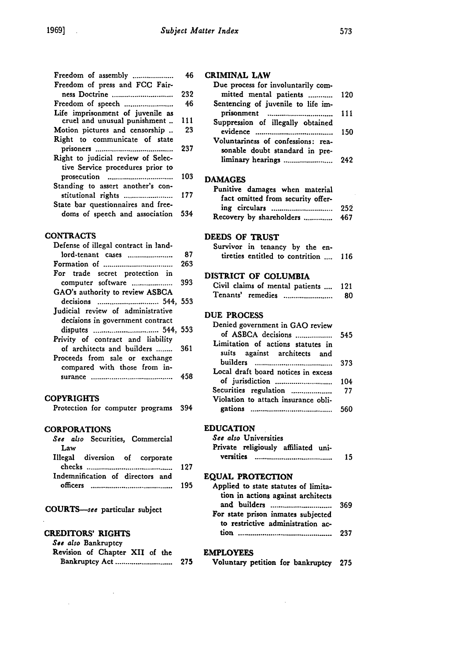| Freedom of assembly                | 46  | <b>CRIMINAL</b> |
|------------------------------------|-----|-----------------|
| Freedom of press and FCC Fair-     |     | Due proce       |
| ness Doctrine                      | 232 | mitted          |
|                                    | 46  | Sentencing      |
| Life imprisonment of juvenile as   |     | prisonm         |
| cruel and unusual punishment  111  |     | Suppressio      |
| Motion pictures and censorship     | 23  | evidence        |
| Right to communicate of state      |     | Voluntarir      |
|                                    | 237 | sonable         |
| Right to judicial review of Selec- |     | liminary        |
| tive Service procedures prior to   |     |                 |
| prosecution                        | 103 | <b>DAMAGES</b>  |
| Standing to assert another's con-  |     | Punitive (      |
| stitutional rights                 | 177 | fact om         |
| State bar questionnaires and free- |     |                 |
| doms of speech and association 534 |     | ing circ        |
|                                    |     | Recovery 1      |

#### **CONTRACTS**

| Defense of illegal contract in land-                                                   |     | Survivor in ten                                                 |
|----------------------------------------------------------------------------------------|-----|-----------------------------------------------------------------|
| lord-tenant cases                                                                      | -87 | tireties entitled                                               |
|                                                                                        | 263 |                                                                 |
| For trade secret protection in<br>computer software<br>GAO's authority to review ASBCA | 393 | <b>DISTRICT OF CO</b><br>Civil claims of n<br>Tenants' remedi   |
| Judicial review of administrative<br>decisions in government contract                  |     | <b>DUE PROCESS</b><br>Denied governme                           |
| Privity of contract and liability<br>of architects and builders                        | 361 | of ASBCA der<br>Limitation of a                                 |
| Proceeds from sale or exchange<br>compared with those from in-                         | 458 | suits against<br>builders<br>Local draft board<br>of indication |

### **COPYRIGHTS**

|  |  |  | Protection for computer programs 394 |  |
|--|--|--|--------------------------------------|--|
|--|--|--|--------------------------------------|--|

#### CORPORATIONS

|            | See also Securities, Commercial  |  |     |
|------------|----------------------------------|--|-----|
| Law        |                                  |  |     |
|            | Illegal diversion of corporate   |  |     |
|            |                                  |  | 127 |
|            | Indemnification of directors and |  |     |
| officers . |                                  |  |     |

COURTS-see particular subject

# CREDITORS' RIGHTS

*See also* Bankruptcy Revision of Chapter XII of the Bankruptcy Act **............................ 275**

÷.

# CRIMINAL LAW

| Due process for involuntarily com-<br>mitted mental patients  120    |     |
|----------------------------------------------------------------------|-----|
| Sentencing of juvenile to life im-                                   |     |
| prisonment<br>,,,,,,,,,,,,,,,,,,,,,,,,,,,,,,,                        | 111 |
| Suppression of illegally obtained                                    | 150 |
| Voluntariness of confessions: rea-<br>sonable doubt standard in pre- |     |
| liminary hearings                                                    |     |

# **DAMAGES**

| Punitive damages when material    |     |
|-----------------------------------|-----|
| fact omitted from security offer- |     |
|                                   | 252 |
| Recovery by shareholders  467     |     |

#### **DEEDS** OF TRUST

| Survivor in tenancy by the en-       |  |  |  |  |
|--------------------------------------|--|--|--|--|
| tireties entitled to contrition  116 |  |  |  |  |

#### DISTRICT OF **COLUMBIA**

|                   | Civil claims of mental patients  121 |    |
|-------------------|--------------------------------------|----|
| Tenants' remedies |                                      | 80 |

#### **DUE PROCESS**

| Denied government in GAO review<br>of ASBCA decisions             | 545 |
|-------------------------------------------------------------------|-----|
| Limitation of actions statutes in<br>suits against architects and |     |
|                                                                   | 373 |
| Local draft board notices in excess                               |     |
|                                                                   | 104 |
| Securities regulation  77                                         |     |
| Violation to attach insurance obli-                               |     |
|                                                                   |     |

# **EDUCATION**

| See also Universities               |  |    |
|-------------------------------------|--|----|
| Private religiously affiliated uni- |  |    |
|                                     |  | 15 |

#### **EQUAL** PROTECTION

| Applied to state statutes of limita-<br>tion in actions against architects |  |
|----------------------------------------------------------------------------|--|
| For state prison inmates subjected                                         |  |
| to restrictive administration ac-                                          |  |
|                                                                            |  |

# EMPLOYEES

| Voluntary petition for bankruptcy 275 |  |  |
|---------------------------------------|--|--|
|---------------------------------------|--|--|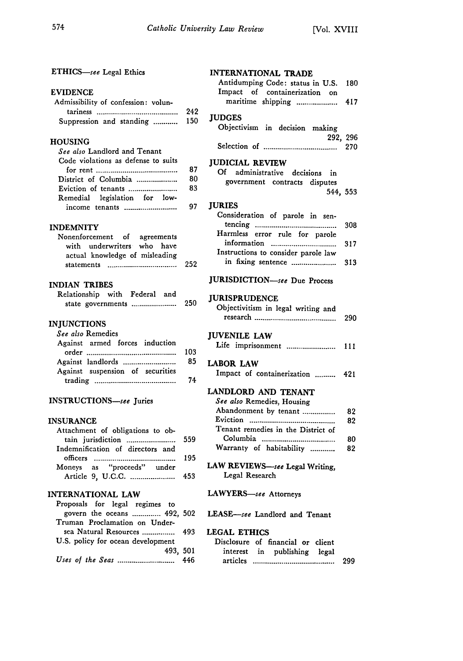# ETHICS-see Legal Ethics

#### EVIDENCE

| Admissibility of confession: volun- |     |
|-------------------------------------|-----|
|                                     | 242 |
| Suppression and standing  150       |     |

# HOUSING<br>See slee I

| See also Landlord and Tenant        |    | Se    |
|-------------------------------------|----|-------|
| Code violations as defense to suits |    | IUD   |
|                                     | 87 | о     |
| District of Columbia                | 80 |       |
|                                     | 83 |       |
| Remedial legislation for low-       |    |       |
|                                     | 97 | - IUR |

#### INDEMNITY

| Nonenforcement of agreements   |  |    |
|--------------------------------|--|----|
| with underwriters who have     |  |    |
| actual knowledge of misleading |  |    |
|                                |  | 2. |

#### INDIAN TRIBES

|  | Relationship with Federal and |     |
|--|-------------------------------|-----|
|  | state governments             | -25 |

#### **INJUNCTIONS**

| See also Remedies<br>Against armed forces induction | <b>JUVENILE LAW</b><br>Life imprisonment      |
|-----------------------------------------------------|-----------------------------------------------|
| Against suspension of securities                    | <b>LABOR LAW</b><br>Impact of containerizatio |

#### INSTRUCTIONS-see Juries

#### **INSURANCE**

| 559 |
|-----|
|     |
| 195 |
|     |
|     |
|     |

#### INTERNATIONAL LAW

| Proposals for legal regimes to    |  |
|-----------------------------------|--|
| govern the oceans  492, 502       |  |
| Truman Proclamation on Under-     |  |
|                                   |  |
| U.S. policy for ocean development |  |
| 493.501                           |  |
|                                   |  |

|                | <b>INTERNATIONAL TRADE</b><br>Antidumping Code: status in U.S.<br>Impact of containerization on<br>maritime shipping | 180<br>417 |
|----------------|----------------------------------------------------------------------------------------------------------------------|------------|
| !42<br>50      | <b>JUDGES</b><br>Objectivism in decision making                                                                      |            |
|                | 292, 296                                                                                                             | 270        |
| 87<br>80<br>83 | <b>JUDICIAL REVIEW</b><br>Of administrative decisions in<br>government contracts disputes<br>544, 553                |            |
| 97 -           | <b>JURIES</b><br>Consideration of parole in sen-                                                                     | 308        |

|      | Harmless error rule for parole      |  |
|------|-------------------------------------|--|
|      |                                     |  |
|      | Instructions to consider parole law |  |
| 252. |                                     |  |

# JURISDICTION-see Due Process

# **250 JURISPRUDENCE**

| <b>JURISPRUDENCE</b><br>Objectivitism in legal writing and |  |
|------------------------------------------------------------|--|
| <b>JUVENILE LAW</b><br>Life imprisonment  111              |  |

#### LABOR LAW

Impact of containerization .......... 421

# LANDLORD AND TENANT

| 82                                                |
|---------------------------------------------------|
| 82                                                |
|                                                   |
| 80                                                |
| 82                                                |
| Abandonment by tenant<br>Warranty of habitability |

#### LAW REVIEWS-see Legal Writing, Legal Research

### LAWYERS-see Attorneys

LEASE-see Landlord and Tenant

# **LEGAL ETHICS**

| Disclosure of financial or client |                              |  |     |
|-----------------------------------|------------------------------|--|-----|
|                                   | interest in publishing legal |  |     |
| articles                          |                              |  | 299 |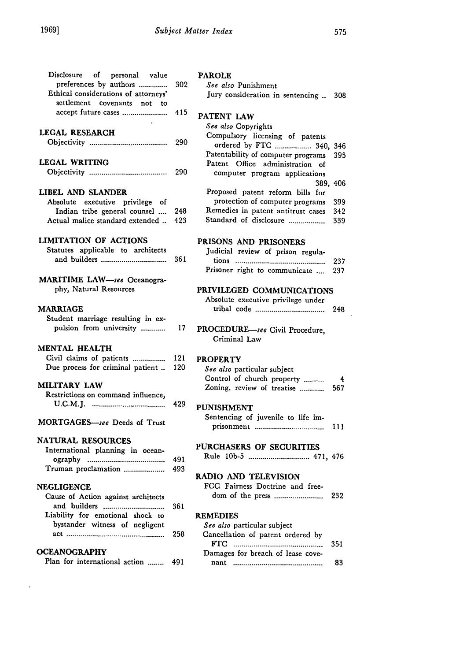| Disclosure of personal value<br>preferences by authors<br>Ethical considerations of attorneys'                                                | 302        | P            |
|-----------------------------------------------------------------------------------------------------------------------------------------------|------------|--------------|
| settlement covenants not to<br>accept future cases                                                                                            | 415        | P            |
| LEGAL RESEARCH                                                                                                                                | 290        |              |
| LEGAL WRITING                                                                                                                                 | 290        |              |
| LIBEL AND SLANDER<br>Absolute executive privilege of<br>Indian tribe general counsel<br>Actual malice standard extended                       | 248<br>423 |              |
| <b>LIMITATION OF ACTIONS</b><br>Statutes applicable to architects<br>and builders                                                             | - 361      | ${\bf P}$    |
| MARITIME LAW-see Oceanogra-<br>phy, Natural Resources                                                                                         |            | Pl           |
| <b>MARRIAGE</b><br>Student marriage resulting in ex-<br>pulsion from university                                                               | 17         | ${\bf P}$    |
| <b>MENTAL HEALTH</b><br>Civil claims of patients<br>Due process for criminal patient                                                          | 121<br>120 | Pl           |
| <b>MILITARY LAW</b><br>Restrictions on command influence,                                                                                     | 429        | P١           |
| MORTGAGES-see Deeds of Trust                                                                                                                  |            |              |
| <b>NATURAL RESOURCES</b><br>International planning in ocean-                                                                                  | -491       | Pl           |
| Truman proclamation                                                                                                                           | 493        | $\mathbf{R}$ |
| <b>NEGLIGENCE</b><br>Cause of Action against architects<br>and builders<br>Liability for emotional shock to<br>bystander witness of negligent | 361        | R)           |
|                                                                                                                                               | 258        |              |
| <b>OCEANOGRAPHY</b><br>Plan for international action  491                                                                                     |            |              |

 $\ddot{\phantom{a}}$ 

#### **PAROLE**

| See also Punishment |                                       |  |
|---------------------|---------------------------------------|--|
|                     | Jury consideration in sentencing  308 |  |

#### **PATENT LAW**

| See also Copyrights                    |     |
|----------------------------------------|-----|
| Compulsory licensing of patents        |     |
| ordered by FTG  340,                   | 346 |
| Patentability of computer programs 395 |     |
| Patent Office administration of        |     |
| computer program applications          |     |
| 389.406                                |     |
| Proposed patent reform bills for       |     |
| protection of computer programs        | 399 |
| Remedies in patent antitrust cases     | 342 |
| Standard of disclosure                 | 339 |

# **PRISONS AND** PRISONERS

| Iudicial review of prison regula-  |  |  |  |  |
|------------------------------------|--|--|--|--|
|                                    |  |  |  |  |
| Prisoner right to communicate  237 |  |  |  |  |

# PRIVILEGED **COMMUNICATIONS**

| Absolute executive privilege under |  |     |
|------------------------------------|--|-----|
|                                    |  | 248 |

| ROCEDURE-see Civil Procedure, |  |
|-------------------------------|--|
| Criminal Law                  |  |

# $\frac{1}{20}$  PROPERTY

| 120 | See also particular subject |     |
|-----|-----------------------------|-----|
|     | Control of church property  | 4   |
|     | Zoning, review of treatise  | 567 |

# <sup>429</sup> piinishment

| Sentencing of juvenile to life im- |  |  |      |
|------------------------------------|--|--|------|
|                                    |  |  | -111 |

# PURCHASERS **OF** SECURITIES

| 491 | Rule 10b-5 |  |  |  |
|-----|------------|--|--|--|
|-----|------------|--|--|--|

#### **RADIO AND TELEVISION**

| FCC Fairness Doctrine and free- |     |
|---------------------------------|-----|
|                                 | 232 |

# **REMEDIES**

|     | See also particular subject       |     |
|-----|-----------------------------------|-----|
| 258 | Cancellation of patent ordered by |     |
|     |                                   |     |
|     | Damages for breach of lease cove- |     |
| 491 |                                   | -83 |

 $\bar{z}$